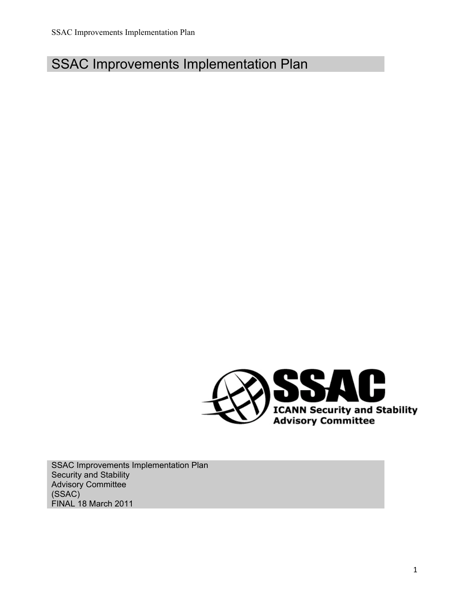# SSAC Improvements Implementation Plan



SSAC Improvements Implementation Plan Security and Stability Advisory Committee (SSAC) FINAL 18 March 2011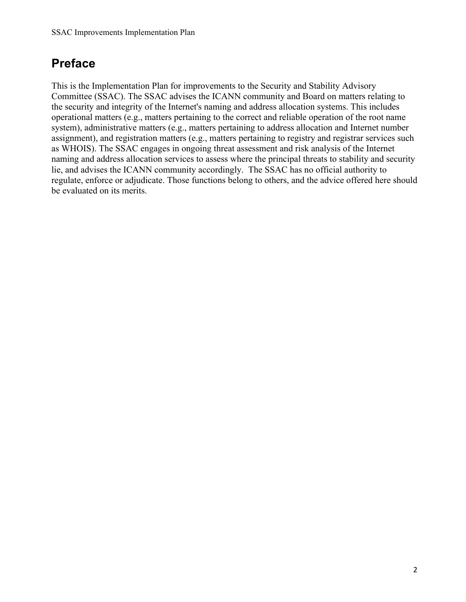## **Preface**

This is the Implementation Plan for improvements to the Security and Stability Advisory Committee (SSAC). The SSAC advises the ICANN community and Board on matters relating to the security and integrity of the Internet's naming and address allocation systems. This includes operational matters (e.g., matters pertaining to the correct and reliable operation of the root name system), administrative matters (e.g., matters pertaining to address allocation and Internet number assignment), and registration matters (e.g., matters pertaining to registry and registrar services such as WHOIS). The SSAC engages in ongoing threat assessment and risk analysis of the Internet naming and address allocation services to assess where the principal threats to stability and security lie, and advises the ICANN community accordingly. The SSAC has no official authority to regulate, enforce or adjudicate. Those functions belong to others, and the advice offered here should be evaluated on its merits.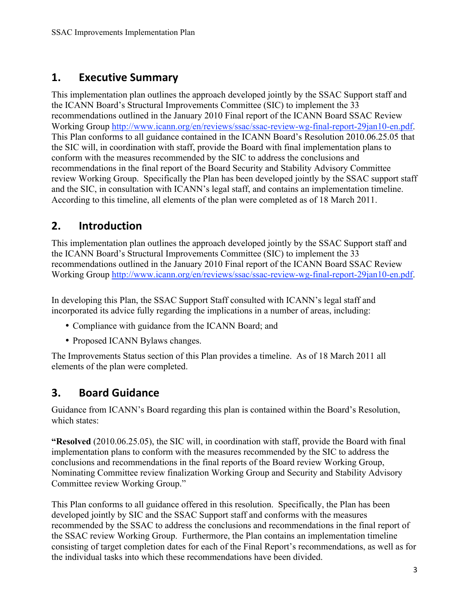#### **1. Executive Summary**

This implementation plan outlines the approach developed jointly by the SSAC Support staff and the ICANN Board's Structural Improvements Committee (SIC) to implement the 33 recommendations outlined in the January 2010 Final report of the ICANN Board SSAC Review Working Group http://www.icann.org/en/reviews/ssac/ssac-review-wg-final-report-29jan10-en.pdf. This Plan conforms to all guidance contained in the ICANN Board's Resolution 2010.06.25.05 that the SIC will, in coordination with staff, provide the Board with final implementation plans to conform with the measures recommended by the SIC to address the conclusions and recommendations in the final report of the Board Security and Stability Advisory Committee review Working Group. Specifically the Plan has been developed jointly by the SSAC support staff and the SIC, in consultation with ICANN's legal staff, and contains an implementation timeline. According to this timeline, all elements of the plan were completed as of 18 March 2011.

#### **2. Introduction**

This implementation plan outlines the approach developed jointly by the SSAC Support staff and the ICANN Board's Structural Improvements Committee (SIC) to implement the 33 recommendations outlined in the January 2010 Final report of the ICANN Board SSAC Review Working Group http://www.icann.org/en/reviews/ssac/ssac-review-wg-final-report-29jan10-en.pdf.

In developing this Plan, the SSAC Support Staff consulted with ICANN's legal staff and incorporated its advice fully regarding the implications in a number of areas, including:

- Compliance with guidance from the ICANN Board; and
- Proposed ICANN Bylaws changes.

The Improvements Status section of this Plan provides a timeline. As of 18 March 2011 all elements of the plan were completed.

#### **3. Board Guidance**

Guidance from ICANN's Board regarding this plan is contained within the Board's Resolution, which states:

**"Resolved** (2010.06.25.05), the SIC will, in coordination with staff, provide the Board with final implementation plans to conform with the measures recommended by the SIC to address the conclusions and recommendations in the final reports of the Board review Working Group, Nominating Committee review finalization Working Group and Security and Stability Advisory Committee review Working Group."

This Plan conforms to all guidance offered in this resolution. Specifically, the Plan has been developed jointly by SIC and the SSAC Support staff and conforms with the measures recommended by the SSAC to address the conclusions and recommendations in the final report of the SSAC review Working Group. Furthermore, the Plan contains an implementation timeline consisting of target completion dates for each of the Final Report's recommendations, as well as for the individual tasks into which these recommendations have been divided.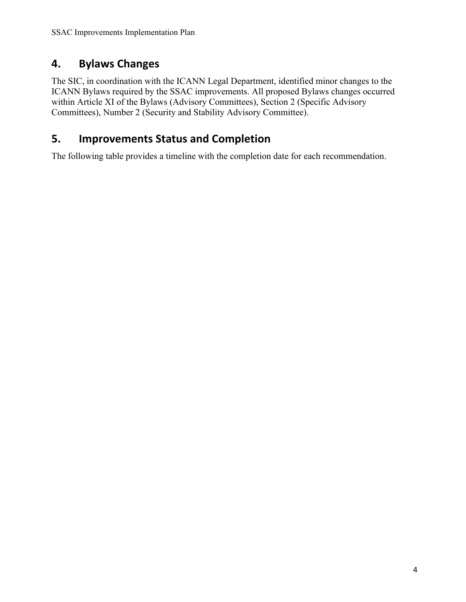### **4. Bylaws Changes**

The SIC, in coordination with the ICANN Legal Department, identified minor changes to the ICANN Bylaws required by the SSAC improvements. All proposed Bylaws changes occurred within Article XI of the Bylaws (Advisory Committees), Section 2 (Specific Advisory Committees), Number 2 (Security and Stability Advisory Committee).

## **5. Improvements
Status
and
Completion**

The following table provides a timeline with the completion date for each recommendation.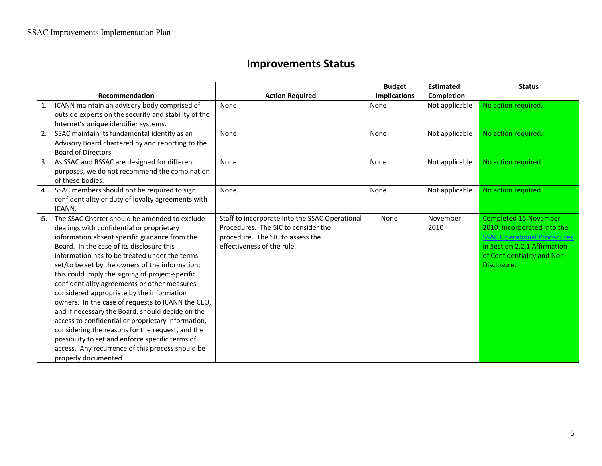## **Improvements
Status**

|    |                                                      |                                                | <b>Budget</b>       | <b>Estimated</b> | <b>Status</b>                      |
|----|------------------------------------------------------|------------------------------------------------|---------------------|------------------|------------------------------------|
|    | Recommendation                                       | <b>Action Required</b>                         | <b>Implications</b> | Completion       |                                    |
| 1. | ICANN maintain an advisory body comprised of         | None                                           | None                | Not applicable   | No action required.                |
|    | outside experts on the security and stability of the |                                                |                     |                  |                                    |
|    | Internet's unique identifier systems.                |                                                |                     |                  |                                    |
| 2. | SSAC maintain its fundamental identity as an         | None                                           | None                | Not applicable   | No action required.                |
|    | Advisory Board chartered by and reporting to the     |                                                |                     |                  |                                    |
|    | Board of Directors.                                  |                                                |                     |                  |                                    |
| 3. | As SSAC and RSSAC are designed for different         | None                                           | None                | Not applicable   | No action required.                |
|    | purposes, we do not recommend the combination        |                                                |                     |                  |                                    |
|    | of these bodies.                                     |                                                |                     |                  |                                    |
| 4. | SSAC members should not be required to sign          | None                                           | None                | Not applicable   | No action required.                |
|    | confidentiality or duty of loyalty agreements with   |                                                |                     |                  |                                    |
|    | ICANN.                                               |                                                |                     |                  |                                    |
| 5. | The SSAC Charter should be amended to exclude        | Staff to incorporate into the SSAC Operational | None                | November         | <b>Completed 15 November</b>       |
|    | dealings with confidential or proprietary            | Procedures. The SIC to consider the            |                     | 2010             | 2010: Incorporated into the        |
|    | information absent specific guidance from the        | procedure. The SIC to assess the               |                     |                  | <b>SSAC Operational Procedures</b> |
|    | Board. In the case of its disclosure this            | effectiveness of the rule.                     |                     |                  | in Section 2.2.1 Affirmation       |
|    | information has to be treated under the terms        |                                                |                     |                  | of Confidentiality and Non-        |
|    | set/to be set by the owners of the information;      |                                                |                     |                  | Disclosure.                        |
|    | this could imply the signing of project-specific     |                                                |                     |                  |                                    |
|    | confidentiality agreements or other measures         |                                                |                     |                  |                                    |
|    | considered appropriate by the information            |                                                |                     |                  |                                    |
|    | owners. In the case of requests to ICANN the CEO,    |                                                |                     |                  |                                    |
|    | and if necessary the Board, should decide on the     |                                                |                     |                  |                                    |
|    | access to confidential or proprietary information,   |                                                |                     |                  |                                    |
|    | considering the reasons for the request, and the     |                                                |                     |                  |                                    |
|    | possibility to set and enforce specific terms of     |                                                |                     |                  |                                    |
|    | access. Any recurrence of this process should be     |                                                |                     |                  |                                    |
|    | properly documented.                                 |                                                |                     |                  |                                    |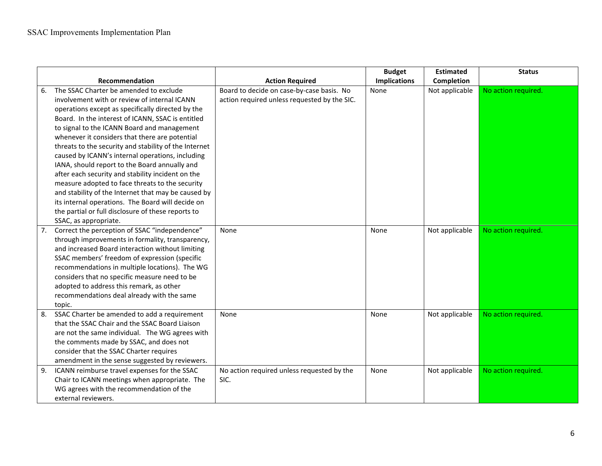|    |                                                       |                                              | <b>Budget</b>       | <b>Estimated</b> | <b>Status</b>       |
|----|-------------------------------------------------------|----------------------------------------------|---------------------|------------------|---------------------|
|    | Recommendation                                        | <b>Action Required</b>                       | <b>Implications</b> | Completion       |                     |
| 6. | The SSAC Charter be amended to exclude                | Board to decide on case-by-case basis. No    | None                | Not applicable   | No action required. |
|    | involvement with or review of internal ICANN          | action required unless requested by the SIC. |                     |                  |                     |
|    | operations except as specifically directed by the     |                                              |                     |                  |                     |
|    | Board. In the interest of ICANN, SSAC is entitled     |                                              |                     |                  |                     |
|    | to signal to the ICANN Board and management           |                                              |                     |                  |                     |
|    | whenever it considers that there are potential        |                                              |                     |                  |                     |
|    | threats to the security and stability of the Internet |                                              |                     |                  |                     |
|    | caused by ICANN's internal operations, including      |                                              |                     |                  |                     |
|    | IANA, should report to the Board annually and         |                                              |                     |                  |                     |
|    | after each security and stability incident on the     |                                              |                     |                  |                     |
|    | measure adopted to face threats to the security       |                                              |                     |                  |                     |
|    | and stability of the Internet that may be caused by   |                                              |                     |                  |                     |
|    | its internal operations. The Board will decide on     |                                              |                     |                  |                     |
|    | the partial or full disclosure of these reports to    |                                              |                     |                  |                     |
|    | SSAC, as appropriate.                                 |                                              |                     |                  |                     |
|    | Correct the perception of SSAC "independence"         | None                                         | None                | Not applicable   | No action required. |
|    | through improvements in formality, transparency,      |                                              |                     |                  |                     |
|    | and increased Board interaction without limiting      |                                              |                     |                  |                     |
|    | SSAC members' freedom of expression (specific         |                                              |                     |                  |                     |
|    | recommendations in multiple locations). The WG        |                                              |                     |                  |                     |
|    | considers that no specific measure need to be         |                                              |                     |                  |                     |
|    | adopted to address this remark, as other              |                                              |                     |                  |                     |
|    | recommendations deal already with the same            |                                              |                     |                  |                     |
|    | topic.                                                |                                              |                     |                  |                     |
| 8. | SSAC Charter be amended to add a requirement          | None                                         | None                | Not applicable   | No action required. |
|    | that the SSAC Chair and the SSAC Board Liaison        |                                              |                     |                  |                     |
|    | are not the same individual. The WG agrees with       |                                              |                     |                  |                     |
|    | the comments made by SSAC, and does not               |                                              |                     |                  |                     |
|    | consider that the SSAC Charter requires               |                                              |                     |                  |                     |
|    | amendment in the sense suggested by reviewers.        |                                              |                     |                  |                     |
| 9. | ICANN reimburse travel expenses for the SSAC          | No action required unless requested by the   | None                | Not applicable   | No action required. |
|    | Chair to ICANN meetings when appropriate. The         | SIC.                                         |                     |                  |                     |
|    | WG agrees with the recommendation of the              |                                              |                     |                  |                     |
|    | external reviewers.                                   |                                              |                     |                  |                     |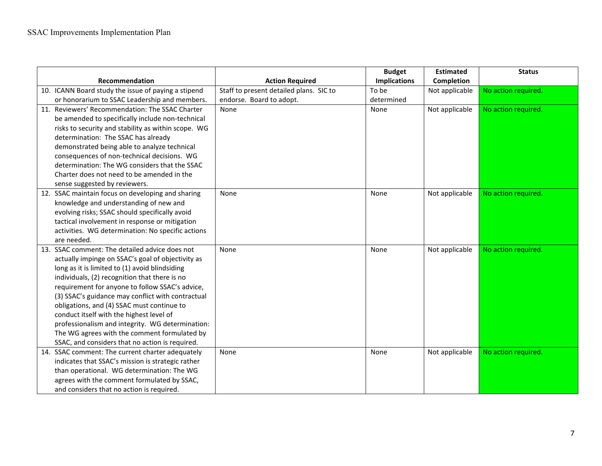|                                                     |                                         | <b>Budget</b>       | <b>Estimated</b> | <b>Status</b>       |
|-----------------------------------------------------|-----------------------------------------|---------------------|------------------|---------------------|
| Recommendation                                      | <b>Action Required</b>                  | <b>Implications</b> | Completion       |                     |
| 10. ICANN Board study the issue of paying a stipend | Staff to present detailed plans. SIC to | To be               | Not applicable   | No action required. |
| or honorarium to SSAC Leadership and members.       | endorse. Board to adopt.                | determined          |                  |                     |
| 11. Reviewers' Recommendation: The SSAC Charter     | None                                    | None                | Not applicable   | No action required. |
| be amended to specifically include non-technical    |                                         |                     |                  |                     |
| risks to security and stability as within scope. WG |                                         |                     |                  |                     |
| determination: The SSAC has already                 |                                         |                     |                  |                     |
| demonstrated being able to analyze technical        |                                         |                     |                  |                     |
| consequences of non-technical decisions. WG         |                                         |                     |                  |                     |
| determination: The WG considers that the SSAC       |                                         |                     |                  |                     |
| Charter does not need to be amended in the          |                                         |                     |                  |                     |
| sense suggested by reviewers.                       |                                         |                     |                  |                     |
| 12. SSAC maintain focus on developing and sharing   | None                                    | None                | Not applicable   | No action required. |
| knowledge and understanding of new and              |                                         |                     |                  |                     |
| evolving risks; SSAC should specifically avoid      |                                         |                     |                  |                     |
| tactical involvement in response or mitigation      |                                         |                     |                  |                     |
| activities. WG determination: No specific actions   |                                         |                     |                  |                     |
| are needed.                                         |                                         |                     |                  |                     |
| 13. SSAC comment: The detailed advice does not      | None                                    | None                | Not applicable   | No action required. |
| actually impinge on SSAC's goal of objectivity as   |                                         |                     |                  |                     |
| long as it is limited to (1) avoid blindsiding      |                                         |                     |                  |                     |
| individuals, (2) recognition that there is no       |                                         |                     |                  |                     |
| requirement for anyone to follow SSAC's advice,     |                                         |                     |                  |                     |
| (3) SSAC's guidance may conflict with contractual   |                                         |                     |                  |                     |
| obligations, and (4) SSAC must continue to          |                                         |                     |                  |                     |
| conduct itself with the highest level of            |                                         |                     |                  |                     |
| professionalism and integrity. WG determination:    |                                         |                     |                  |                     |
| The WG agrees with the comment formulated by        |                                         |                     |                  |                     |
| SSAC, and considers that no action is required.     |                                         |                     |                  |                     |
| 14. SSAC comment: The current charter adequately    | None                                    | None                | Not applicable   | No action required. |
| indicates that SSAC's mission is strategic rather   |                                         |                     |                  |                     |
| than operational. WG determination: The WG          |                                         |                     |                  |                     |
| agrees with the comment formulated by SSAC,         |                                         |                     |                  |                     |
| and considers that no action is required.           |                                         |                     |                  |                     |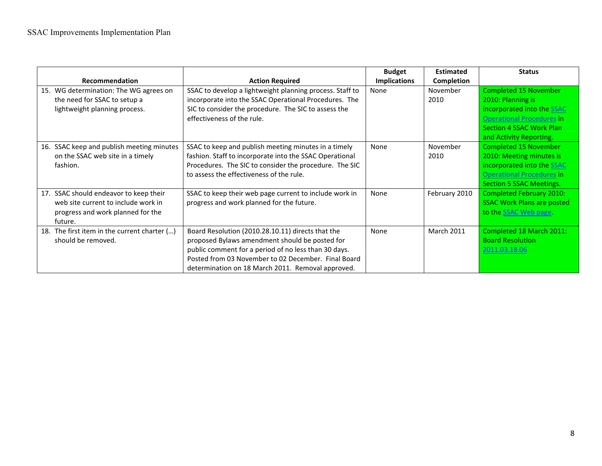|                                                                                                                                  |                                                                                                                                                                                                                                                                         | <b>Budget</b>       | <b>Estimated</b>  | <b>Status</b>                                                                                                                                   |
|----------------------------------------------------------------------------------------------------------------------------------|-------------------------------------------------------------------------------------------------------------------------------------------------------------------------------------------------------------------------------------------------------------------------|---------------------|-------------------|-------------------------------------------------------------------------------------------------------------------------------------------------|
| <b>Recommendation</b>                                                                                                            | <b>Action Required</b>                                                                                                                                                                                                                                                  | <b>Implications</b> | Completion        |                                                                                                                                                 |
| 15. WG determination: The WG agrees on<br>the need for SSAC to setup a<br>lightweight planning process.                          | SSAC to develop a lightweight planning process. Staff to<br>incorporate into the SSAC Operational Procedures. The<br>SIC to consider the procedure. The SIC to assess the<br>effectiveness of the rule.                                                                 | None                | November<br>2010  | <b>Completed 15 November</b><br>2010: Planning is<br>incorporated into the SSAC<br><b>Operational Procedures in</b>                             |
|                                                                                                                                  |                                                                                                                                                                                                                                                                         |                     |                   | <b>Section 4 SSAC Work Plan</b><br>and Activity Reporting.                                                                                      |
| 16. SSAC keep and publish meeting minutes<br>on the SSAC web site in a timely<br>fashion.                                        | SSAC to keep and publish meeting minutes in a timely<br>fashion. Staff to incorporate into the SSAC Operational<br>Procedures. The SIC to consider the procedure. The SIC<br>to assess the effectiveness of the rule.                                                   | None                | November<br>2010  | Completed 15 November<br>2010: Meeting minutes is<br>incorporated into the SSAC<br>Operational Procedures in<br><b>Section 5 SSAC Meetings.</b> |
| SSAC should endeavor to keep their<br>17.<br>web site current to include work in<br>progress and work planned for the<br>future. | SSAC to keep their web page current to include work in<br>progress and work planned for the future.                                                                                                                                                                     | None                | February 2010     | <b>Completed February 2010:</b><br><b>SSAC Work Plans are posted</b><br>to the SSAC Web page.                                                   |
| The first item in the current charter ()<br>18.<br>should be removed.                                                            | Board Resolution (2010.28.10.11) directs that the<br>proposed Bylaws amendment should be posted for<br>public comment for a period of no less than 30 days.<br>Posted from 03 November to 02 December. Final Board<br>determination on 18 March 2011. Removal approved. | None                | <b>March 2011</b> | Completed 18 March 2011:<br><b>Board Resolution</b><br>2011.03.18.06                                                                            |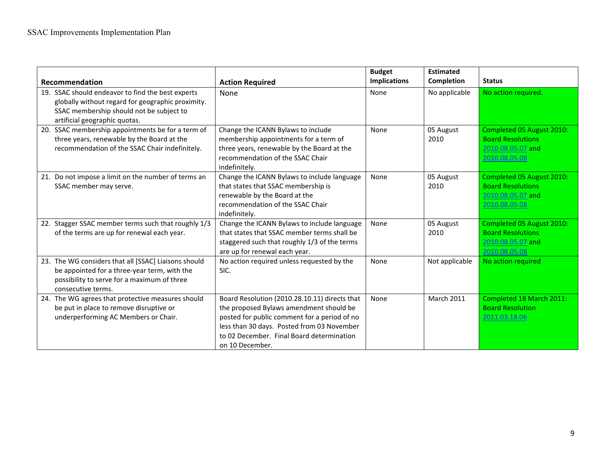|                                                                                                                                                                                     |                                                                                                                                                                                                                                                        | <b>Budget</b><br><b>Implications</b> | <b>Estimated</b><br><b>Completion</b> | <b>Status</b>                                                                               |
|-------------------------------------------------------------------------------------------------------------------------------------------------------------------------------------|--------------------------------------------------------------------------------------------------------------------------------------------------------------------------------------------------------------------------------------------------------|--------------------------------------|---------------------------------------|---------------------------------------------------------------------------------------------|
| Recommendation                                                                                                                                                                      | <b>Action Required</b>                                                                                                                                                                                                                                 |                                      |                                       |                                                                                             |
| 19. SSAC should endeavor to find the best experts<br>globally without regard for geographic proximity.<br>SSAC membership should not be subject to<br>artificial geographic quotas. | None                                                                                                                                                                                                                                                   | None                                 | No applicable                         | No action required.                                                                         |
| 20. SSAC membership appointments be for a term of<br>three years, renewable by the Board at the<br>recommendation of the SSAC Chair indefinitely.                                   | Change the ICANN Bylaws to include<br>membership appointments for a term of<br>three years, renewable by the Board at the<br>recommendation of the SSAC Chair<br>indefinitely.                                                                         | None                                 | 05 August<br>2010                     | Completed 05 August 2010:<br><b>Board Resolutions</b><br>2010.08.05.07 and<br>2010.08.05.08 |
| 21. Do not impose a limit on the number of terms an<br>SSAC member may serve.                                                                                                       | Change the ICANN Bylaws to include language<br>that states that SSAC membership is<br>renewable by the Board at the<br>recommendation of the SSAC Chair<br>indefinitely.                                                                               | None                                 | 05 August<br>2010                     | Completed 05 August 2010:<br><b>Board Resolutions</b><br>2010.08.05.07 and<br>2010.08.05.08 |
| 22. Stagger SSAC member terms such that roughly 1/3<br>of the terms are up for renewal each year.                                                                                   | Change the ICANN Bylaws to include language<br>that states that SSAC member terms shall be<br>staggered such that roughly 1/3 of the terms<br>are up for renewal each year.                                                                            | None                                 | 05 August<br>2010                     | Completed 05 August 2010:<br><b>Board Resolutions</b><br>2010.08.05.07 and<br>2010.08.05.08 |
| 23. The WG considers that all [SSAC] Liaisons should<br>be appointed for a three-year term, with the<br>possibility to serve for a maximum of three<br>consecutive terms.           | No action required unless requested by the<br>SIC.                                                                                                                                                                                                     | None                                 | Not applicable                        | No action required                                                                          |
| 24. The WG agrees that protective measures should<br>be put in place to remove disruptive or<br>underperforming AC Members or Chair.                                                | Board Resolution (2010.28.10.11) directs that<br>the proposed Bylaws amendment should be<br>posted for public comment for a period of no<br>less than 30 days. Posted from 03 November<br>to 02 December. Final Board determination<br>on 10 December. | None                                 | <b>March 2011</b>                     | Completed 18 March 2011:<br><b>Board Resolution</b><br>2011.03.18.06                        |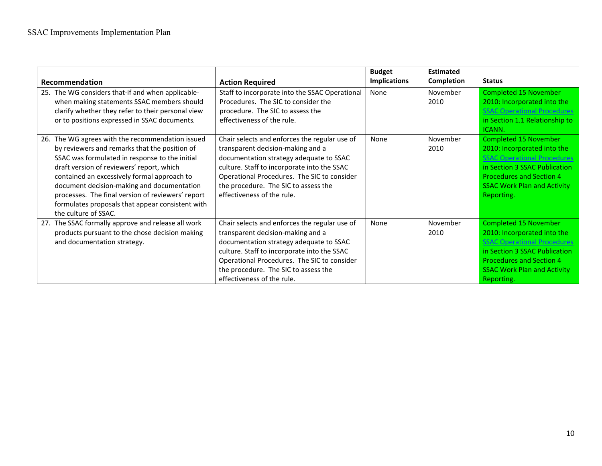| <b>Recommendation</b>                                                                                                                                                                                                                                                                                                                                                                                                             | <b>Action Required</b>                                                                                                                                                                                                                                                                            | <b>Budget</b><br><b>Implications</b> | <b>Estimated</b><br>Completion | <b>Status</b>                                                                                                                                                                                                             |
|-----------------------------------------------------------------------------------------------------------------------------------------------------------------------------------------------------------------------------------------------------------------------------------------------------------------------------------------------------------------------------------------------------------------------------------|---------------------------------------------------------------------------------------------------------------------------------------------------------------------------------------------------------------------------------------------------------------------------------------------------|--------------------------------------|--------------------------------|---------------------------------------------------------------------------------------------------------------------------------------------------------------------------------------------------------------------------|
| 25. The WG considers that-if and when applicable-<br>when making statements SSAC members should<br>clarify whether they refer to their personal view<br>or to positions expressed in SSAC documents.                                                                                                                                                                                                                              | Staff to incorporate into the SSAC Operational<br>Procedures. The SIC to consider the<br>procedure. The SIC to assess the<br>effectiveness of the rule.                                                                                                                                           | None                                 | November<br>2010               | <b>Completed 15 November</b><br>2010: Incorporated into the<br><b>SSAC Operational Procedures</b><br>in Section 1.1 Relationship to<br>ICANN.                                                                             |
| The WG agrees with the recommendation issued<br>26.<br>by reviewers and remarks that the position of<br>SSAC was formulated in response to the initial<br>draft version of reviewers' report, which<br>contained an excessively formal approach to<br>document decision-making and documentation<br>processes. The final version of reviewers' report<br>formulates proposals that appear consistent with<br>the culture of SSAC. | Chair selects and enforces the regular use of<br>transparent decision-making and a<br>documentation strategy adequate to SSAC<br>culture. Staff to incorporate into the SSAC<br>Operational Procedures. The SIC to consider<br>the procedure. The SIC to assess the<br>effectiveness of the rule. | None                                 | November<br>2010               | <b>Completed 15 November</b><br>2010: Incorporated into the<br><b>SSAC Operational Procedures</b><br>in Section 3 SSAC Publication<br><b>Procedures and Section 4</b><br><b>SSAC Work Plan and Activity</b><br>Reporting. |
| 27. The SSAC formally approve and release all work<br>products pursuant to the chose decision making<br>and documentation strategy.                                                                                                                                                                                                                                                                                               | Chair selects and enforces the regular use of<br>transparent decision-making and a<br>documentation strategy adequate to SSAC<br>culture. Staff to incorporate into the SSAC<br>Operational Procedures. The SIC to consider<br>the procedure. The SIC to assess the<br>effectiveness of the rule. | None                                 | November<br>2010               | <b>Completed 15 November</b><br>2010: Incorporated into the<br><b>SSAC Operational Procedures</b><br>in Section 3 SSAC Publication<br><b>Procedures and Section 4</b><br><b>SSAC Work Plan and Activity</b><br>Reporting. |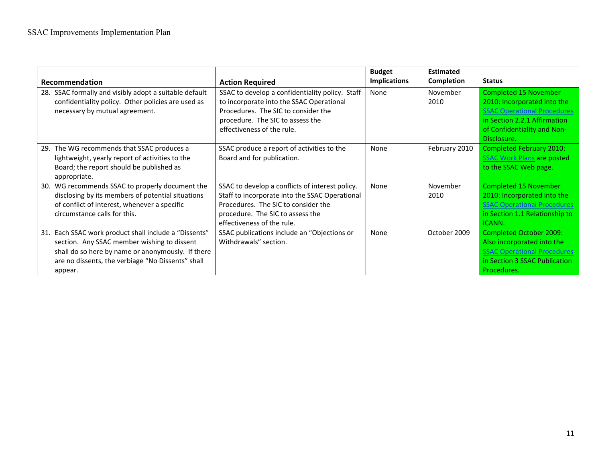|                                                                                                                                                                                                                           |                                                                                                                                                                                                            | <b>Budget</b>       | <b>Estimated</b> |                                                                                                                                                                         |
|---------------------------------------------------------------------------------------------------------------------------------------------------------------------------------------------------------------------------|------------------------------------------------------------------------------------------------------------------------------------------------------------------------------------------------------------|---------------------|------------------|-------------------------------------------------------------------------------------------------------------------------------------------------------------------------|
| <b>Recommendation</b>                                                                                                                                                                                                     | <b>Action Required</b>                                                                                                                                                                                     | <b>Implications</b> | Completion       | <b>Status</b>                                                                                                                                                           |
| 28. SSAC formally and visibly adopt a suitable default<br>confidentiality policy. Other policies are used as<br>necessary by mutual agreement.                                                                            | SSAC to develop a confidentiality policy. Staff<br>to incorporate into the SSAC Operational<br>Procedures. The SIC to consider the<br>procedure. The SIC to assess the<br>effectiveness of the rule.       | None                | November<br>2010 | Completed 15 November<br>2010: Incorporated into the<br><b>SSAC Operational Procedure</b><br>in Section 2.2.1 Affirmation<br>of Confidentiality and Non-<br>Disclosure. |
| 29. The WG recommends that SSAC produces a<br>lightweight, yearly report of activities to the<br>Board; the report should be published as<br>appropriate.                                                                 | SSAC produce a report of activities to the<br>Board and for publication.                                                                                                                                   | None                | February 2010    | <b>Completed February 2010:</b><br><b>SSAC Work Plans are posted</b><br>to the SSAC Web page.                                                                           |
| 30. WG recommends SSAC to properly document the<br>disclosing by its members of potential situations<br>of conflict of interest, whenever a specific<br>circumstance calls for this.                                      | SSAC to develop a conflicts of interest policy.<br>Staff to incorporate into the SSAC Operational<br>Procedures. The SIC to consider the<br>procedure. The SIC to assess the<br>effectiveness of the rule. | None                | November<br>2010 | <b>Completed 15 November</b><br>2010: Incorporated into the<br><b>SSAC Operational Procedures</b><br>in Section 1.1 Relationship to<br>ICANN.                           |
| 31. Each SSAC work product shall include a "Dissents"<br>section. Any SSAC member wishing to dissent<br>shall do so here by name or anonymously. If there<br>are no dissents, the verbiage "No Dissents" shall<br>appear. | SSAC publications include an "Objections or<br>Withdrawals" section.                                                                                                                                       | None                | October 2009     | <b>Completed October 2009:</b><br>Also incorporated into the<br><b>SSAC Operational Procedures</b><br>in Section 3 SSAC Publication<br>Procedures.                      |